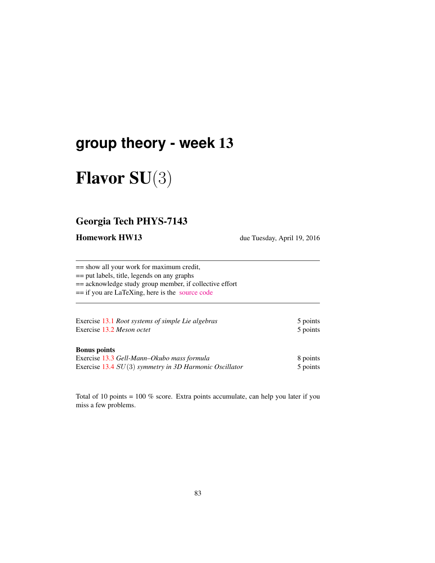# **group theory - week** 13

# Flavor SU(3)

## Georgia Tech PHYS-7143

Homework HW13 due Tuesday, April 19, 2016

== show all your work for maximum credit,

== put labels, title, legends on any graphs

== acknowledge study group member, if collective effort

== if you are LaTeXing, here is the [source code](http://birdtracks.eu/courses/PHYS-7143-16/exerWeek13.tex)

| Exercise 13.1 Root systems of simple Lie algebras | 5 points |
|---------------------------------------------------|----------|
| Exercise 13.2 Meson octet                         | 5 points |

#### Bonus points

| Exercise 13.3 Gell-Mann–Okubo mass formula               | 8 points |
|----------------------------------------------------------|----------|
| Exercise 13.4 $SU(3)$ symmetry in 3D Harmonic Oscillator | 5 points |

Total of 10 points = 100 % score. Extra points accumulate, can help you later if you miss a few problems.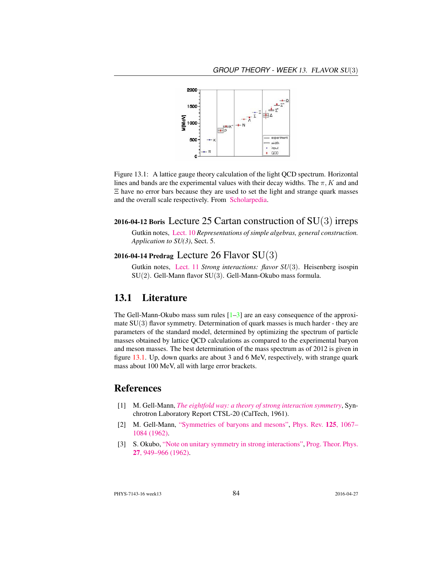

Figure 13.1: A lattice gauge theory calculation of the light QCD spectrum. Horizontal lines and bands are the experimental values with their decay widths. The  $\pi$ , K and and Ξ have no error bars because they are used to set the light and strange quark masses and the overall scale respectively. From [Scholarpedia.](http://www.scholarpedia.org/article/Lattice_gauge_theories)

#### 2016-04-12 Boris Lecture 25 Cartan construction of  $SU(3)$  irreps

Gutkin notes, [Lect. 10](http://birdtracks.eu/courses/PHYS-7143-16/groups.pdf) *Representations of simple algebras, general construction. Application to SU(3)*, Sect. 5.

#### 2016-04-14 Predrag Lecture 26 Flavor  $SU(3)$

Gutkin notes, [Lect. 11](http://birdtracks.eu/courses/PHYS-7143-16/groups.pdf) *Strong interactions: flavor SU*(3). Heisenberg isospin SU(2). Gell-Mann flavor SU(3). Gell-Mann-Okubo mass formula.

### 13.1 Literature

The Gell-Mann-Okubo mass sum rules  $[1-3]$  are an easy consequence of the approximate SU(3) flavor symmetry. Determination of quark masses is much harder - they are parameters of the standard model, determined by optimizing the spectrum of particle masses obtained by lattice QCD calculations as compared to the experimental baryon and meson masses. The best determination of the mass spectrum as of 2012 is given in figure 13.1. Up, down quarks are about 3 and 6 MeV, respectively, with strange quark mass about 100 MeV, all with large error brackets.

### References

- [1] M. Gell-Mann, *[The eightfold way: a theory of strong interaction symmetry](http://dx.doi.org/10.2172/4008239)*, Synchrotron Laboratory Report CTSL-20 (CalTech, 1961).
- [2] M. Gell-Mann, ["Symmetries of baryons and mesons",](http://dx.doi.org/10.1103/PhysRev.125.1067) [Phys. Rev.](http://dx.doi.org/10.1103/PhysRev.125.1067) 125, 1067– [1084 \(1962\).](http://dx.doi.org/10.1103/PhysRev.125.1067)
- [3] S. Okubo, ["Note on unitary symmetry in strong interactions",](http://dx.doi.org/10.1143/PTP.27.949) [Prog. Theor. Phys.](http://dx.doi.org/10.1143/PTP.27.949) 27[, 949–966 \(1962\).](http://dx.doi.org/10.1143/PTP.27.949)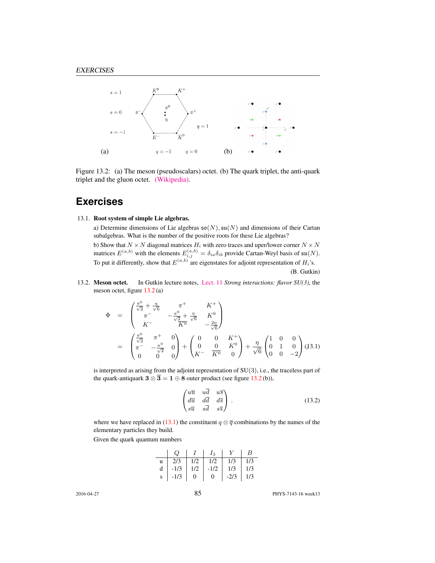

Figure 13.2: (a) The meson (pseudoscalars) octet. (b) The quark triplet, the anti-quark triplet and the gluon octet. [\(Wikipedia\).](https://en.wikipedia.org/wiki/Color_charge)

## **Exercises**

#### 13.1. Root system of simple Lie algebras.

a) Determine dimensions of Lie algebras  $\mathfrak{so}(N)$ ,  $\mathfrak{su}(N)$  and dimensions of their Cartan subalgebras. What is the number of the positive roots for these Lie algebras? b) Show that  $N \times N$  diagonal matrices  $H_i$  with zero traces and uper/lower corner  $N \times N$ matrices  $E^{(a,b)}$  with the elements  $E^{(a,b)}_{i,j} = \delta_{ia}\delta_{ib}$  provide Cartan-Weyl basis of  $\mathfrak{su}(N)$ . To put it differently, show that  $E^{(a,b)}$  are eigenstates for adjoint representation of  $H_i$ 's.

(B. Gutkin)

13.2. Meson octet. In Gutkin lecture notes, [Lect. 11](http://birdtracks.eu/courses/PHYS-7143-16/groups.pdf) *Strong interactions: flavor SU(3)*, the meson octet, figure 13.2 (a)

$$
\Phi = \begin{pmatrix} \frac{\pi^0}{\sqrt{2}} + \frac{\eta}{\sqrt{6}} & \pi^+ & K^+ \\ \pi^- & -\frac{\pi^0}{\sqrt{2}} + \frac{\eta}{\sqrt{6}} & K^0 \\ K^- & \overline{K^0} & -\frac{2\eta}{\sqrt{6}} \end{pmatrix}
$$

$$
= \begin{pmatrix} \frac{\pi^0}{\sqrt{2}} & \pi^+ & 0 \\ \pi^- & -\frac{\pi^0}{\sqrt{2}} & 0 \\ 0 & 0 & 0 \end{pmatrix} + \begin{pmatrix} 0 & 0 & K^+ \\ 0 & 0 & K^0 \\ K^- & \overline{K^0} & 0 \end{pmatrix} + \frac{\eta}{\sqrt{6}} \begin{pmatrix} 1 & 0 & 0 \\ 0 & 1 & 0 \\ 0 & 0 & -2 \end{pmatrix} (J3.1)
$$

is interpreted as arising from the adjoint representation of SU(3), i.e., the traceless part of the quark-antiquark  $3 \otimes \overline{3} = 1 \oplus 8$  outer product (see figure 13.2(b)),

$$
\begin{pmatrix}\n u\overline{u} & u\overline{d} & u\overline{s} \\
d\overline{u} & d\overline{d} & d\overline{s} \\
s\overline{u} & s\overline{d} & s\overline{s}\n\end{pmatrix}.
$$
\n(13.2)

where we have replaced in (13.1) the constituent  $q \otimes \overline{q}$  combinations by the names of the elementary particles they build.

Given the quark quantum numbers

| $Q_{-}$                     |              | $\mid I \mid I_3 \mid Y$ |              | $\perp B$ |
|-----------------------------|--------------|--------------------------|--------------|-----------|
|                             |              |                          |              |           |
| d   -1/3   1/2   -1/2   1/3 |              |                          |              | 1/3       |
| $s \mid -1/3 \mid$          | $\mathbf{0}$ | $\mathbf{0}$             | $-2/3$   1/3 |           |

2016-04-27 85 PHYS-7143-16 week13